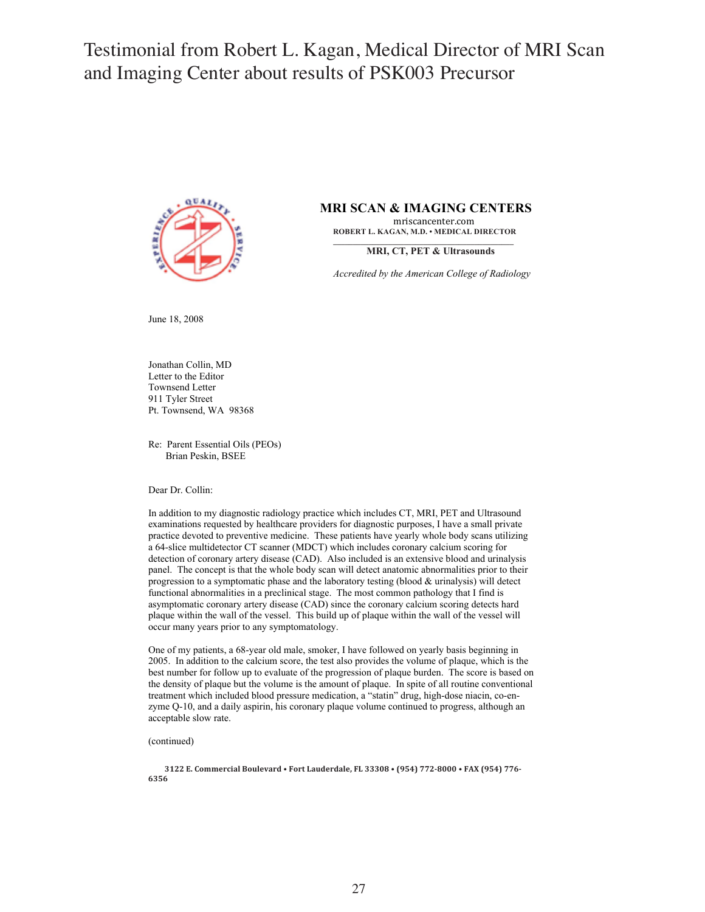Testimonial from Robert L. Kagan, Medical Director of MRI Scan Testimonial from Robert L. Kagan, Medical Director of MRI Scan and Imaging Center about results of PENOOS PREGIS and Imaging Center about results of PSK003 Precursor



**MRI SCAN & IMAGING CENTERS**<br> **ROBERT L. KAGAN, M.D. • MEDICAL DIRECTOR \_\_\_\_\_\_\_\_\_\_\_\_\_\_\_\_\_\_\_\_\_\_\_\_\_\_\_\_\_\_\_\_\_\_\_\_\_\_\_\_\_\_\_\_\_\_**

**MRI, CT, PET & Ultrasounds** 

*Accredited by the American College of Radiology*

June 18, 2008

Jonathan Collin, MD Letter to the Editor Townsend Letter 911 Tyler Street Pt. Townsend, WA 98368

Re: Parent Essential Oils (PEOs) Brian Peskin, BSEE

Dear Dr. Collin:

In addition to my diagnostic radiology practice which includes CT, MRI, PET and Ultrasound examinations requested by healthcare providers for diagnostic purposes, I have a small private practice devoted to preventive medicine. These patients have yearly whole body scans utilizing a 64-slice multidetector CT scanner (MDCT) which includes coronary calcium scoring for detection of coronary artery disease (CAD). Also included is an extensive blood and urinalysis panel. The concept is that the whole body scan will detect anatomic abnormalities prior to their progression to a symptomatic phase and the laboratory testing (blood & urinalysis) will detect functional abnormalities in a preclinical stage. The most common pathology that I find is asymptomatic coronary artery disease (CAD) since the coronary calcium scoring detects hard plaque within the wall of the vessel. This build up of plaque within the wall of the vessel will occur many years prior to any symptomatology.

One of my patients, a 68-year old male, smoker, I have followed on yearly basis beginning in 2005. In addition to the calcium score, the test also provides the volume of plaque, which is the best number for follow up to evaluate of the progression of plaque burden. The score is based on the density of plaque but the volume is the amount of plaque. In spite of all routine conventional treatment which included blood pressure medication, a "statin" drug, high-dose niacin, co-enzyme Q-10, and a daily aspirin, his coronary plaque volume continued to progress, although an acceptable slow rate.

(continued)

3122 E. Commercial Boulevard • Fort Lauderdale, FL 33308 • (954) 772-8000 • FAX (954) 776-**6356\$**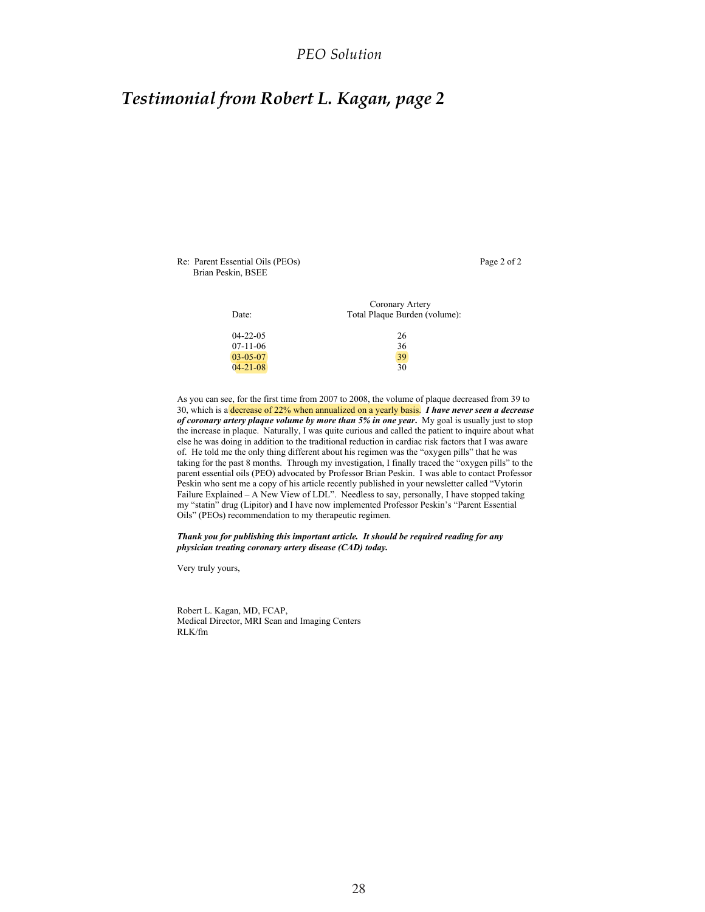## *PEO Solution*

## *Testimonial from Robert L. Kagan, page 2*

Re: Parent Essential Oils (PEOs) Page 2 of 2 Brian Peskin, BSEE

| Date:          | Coronary Artery<br>Total Plaque Burden (volume): |
|----------------|--------------------------------------------------|
| $04 - 22 - 05$ | 26                                               |
| $07-11-06$     | 36                                               |
| $03-05-07$     | 39                                               |
| $04 - 21 - 08$ | 30                                               |

As you can see, for the first time from 2007 to 2008, the volume of plaque decreased from 39 to 30, which is a decrease of 22% when annualized on a yearly basis. *I have never seen a decrease of coronary artery plaque volume by more than 5% in one year***.** My goal is usually just to stop the increase in plaque. Naturally, I was quite curious and called the patient to inquire about what else he was doing in addition to the traditional reduction in cardiac risk factors that I was aware of. He told me the only thing different about his regimen was the "oxygen pills" that he was taking for the past 8 months. Through my investigation, I finally traced the "oxygen pills" to the parent essential oils (PEO) advocated by Professor Brian Peskin. I was able to contact Professor Peskin who sent me a copy of his article recently published in your newsletter called "Vytorin Failure Explained – A New View of LDL". Needless to say, personally, I have stopped taking my "statin" drug (Lipitor) and I have now implemented Professor Peskin's "Parent Essential Oils" (PEOs) recommendation to my therapeutic regimen.

*Thank you for publishing this important article. It should be required reading for any physician treating coronary artery disease (CAD) today.* 

Very truly yours,

Robert L. Kagan, MD, FCAP, Medical Director, MRI Scan and Imaging Centers RLK/fm